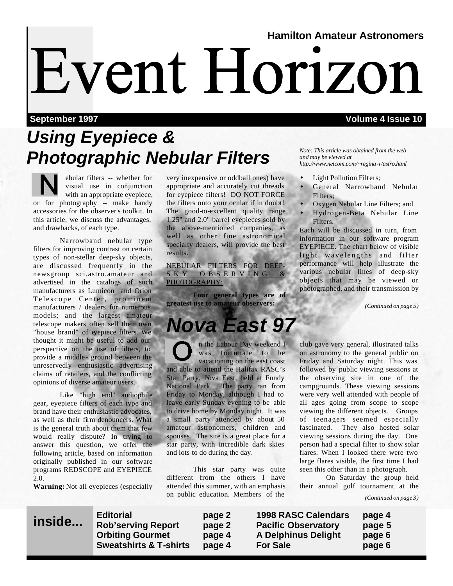# **Hamilton Amateur Astronomers** Event Horizon

### **September 1997 Volume 4 Issue 10**

## *Using Eyepiece & Photographic Nebular Filters*

ebular filters -- whether for visual use in conjunction with an appropriate eyepiece, or for photography -- make handy accessories for the observer's toolkit. In this article, we discuss the advantages, and drawbacks, of each type.

 Narrowband nebular type filters for improving contrast on certain types of non-stellar deep-sky objects, are discussed frequently in the newsgroup sci.astro.amateur and advertised in the catalogs of such manufacturers as Lumicon and Orion Telescope Center, prominent manufacturers / dealers for numerous models; and the largest amateur telescope makers often sell their own "house brand" of eyepiece filters. We thought it might be useful to add our perspective on the use of filters, to provide a middle - ground between the unreservedly enthusiastic advertising claims of retailers, and the conflicting opinions of diverse amateur users.

 Like "high end" audiophile gear, eyepiece filters of each type and brand have their enthusiastic advocates, as well as their firm denouncers. What is the general truth about them that few would really dispute? In trying to answer this question, we offer the following article, based on information originally published in our software programs REDSCOPE and EYEPIECE 2.0.

**Warning:** Not all eyepieces (especially

very inexpensive or oddball ones) have appropriate and accurately cut threads for eyepiece filters! DO NOT FORCE the filters onto your ocular if in doubt! The good-to-excellent quality range 1.25" and 2.0" barrel eyepieces sold by the above-mentioned companies, as well as other fine astronomical specialty dealers, will provide the best results.

NEBULAR FILTERS FOR DEEP-SKY OBSERVING PHOTOGRAPHY:

 **Four general types are of greatest use to amateur observers:**

## *Nova East 97*

n the Labour Day weekend I was fortunate to be vacationing on the east coast and able to attend the Halifax RASC's Star Party, Nova East, held at Fundy National Park. The party ran from Friday to Monday, although I had to leave early Sunday evening to be able to drive home by Monday night. It was a small party attended by about 50 amateur astronomers, children and spouses. The site is a great place for a star party, with incredible dark skies and lots to do during the day.

 This star party was quite different from the others I have attended this summer, with an emphasis on public education. Members of the

*Note: This article was obtained from the web and may be viewed at http://www.netcom.com/~regina-r/astro.html*

- Light Pollution Filters;
- General Narrowband Nebular Filters;
- Oxygen Nebular Line Filters; and
- Hydrogen-Beta Nebular Line Filters.

Each will be discussed in turn, from information in our software program EYEPIECE. The chart below of visible light wavelengths and filter performance will help illustrate the various nebular lines of deep-sky objects that may be viewed or photographed, and their transmission by

*(Continued on page 5)*

club gave very general, illustrated talks on astronomy to the general public on Friday and Saturday night. This was followed by public viewing sessions at the observing site in one of the campgrounds. These viewing sessions were very well attended with people of all ages going from scope to scope viewing the different objects. Groups of teenagers seemed especially fascinated. They also hosted solar viewing sessions during the day. One person had a special filter to show solar flares. When I looked there were two large flares visible, the first time I had seen this other than in a photograph.

 On Saturday the group held their annual golf tournament at the

*(Continued on page 3)*



**Editorial page 2 1998 RASC Calendars page 4 Rob'serving Report page 2 Pacific Observatory page 5**  page 4 A Delphinus Delight page 6 **Sweatshirts & T-shirts page 4 For Sale page 6**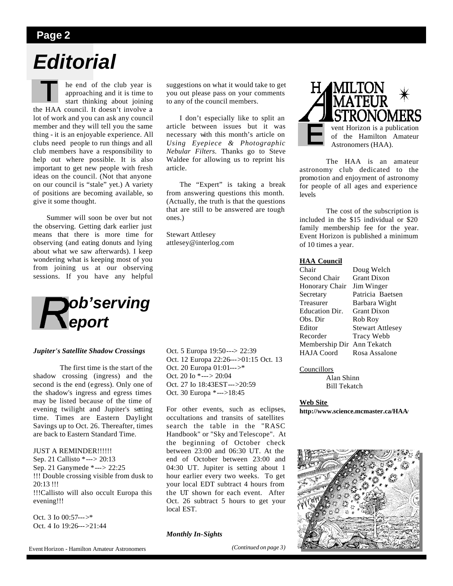### **Page 2**

## *Editorial*

he end of the club year is approaching and it is time to start thinking about joining the HAA council. It doesn't involve a lot of work and you can ask any council member and they will tell you the same thing - it is an enjoyable experience. All clubs need people to run things and all club members have a responsibility to help out where possible. It is also important to get new people with fresh ideas on the council. (Not that anyone on our council is "stale" yet.) A variety of positions are becoming available, so give it some thought.

 Summer will soon be over but not the observing. Getting dark earlier just means that there is more time for observing (and eating donuts and lying about what we saw afterwards). I keep wondering what is keeping most of you from joining us at our observing sessions. If you have any helpful



### *Jupiter's Satellite Shadow Crossings*

 The first time is the start of the shadow crossing (ingress) and the second is the end (egress). Only one of the shadow's ingress and egress times may be listed because of the time of evening twilight and Jupiter's setting time. Times are Eastern Daylight Savings up to Oct. 26. Thereafter, times are back to Eastern Standard Time.

JUST A REMINDER!!!!!! Sep. 21 Callisto \*---> 20:13 Sep. 21 Ganymede \*---> 22:25 !!! Double crossing visible from dusk to 20:13 !!! !!!Callisto will also occult Europa this evening!!!

Oct. 3 Io 00:57--->\* Oct. 4 Io 19:26--->21:44 suggestions on what it would take to get you out please pass on your comments to any of the council members.

 I don't especially like to split an article between issues but it was necessary with this month's article on *Using Eyepiece & Photographic Nebular Filters.* Thanks go to Steve Waldee for allowing us to reprint his article.

The "Expert" is taking a break from answering questions this month. (Actually, the truth is that the questions that are still to be answered are tough ones.)

Stewart Attlesey attlesey@interlog.com

Oct. 5 Europa 19:50---> 22:39 Oct. 12 Europa 22:26--->01:15 Oct. 13 Oct. 20 Europa 01:01--->\* Oct. 20 Io \*---> 20:04 Oct. 27 Io 18:43EST--->20:59 Oct. 30 Europa \*--->18:45

For other events, such as eclipses, occultations and transits of satellites search the table in the "RASC Handbook" or "Sky and Telescope". At the beginning of October check between 23:00 and 06:30 UT. At the end of October between 23:00 and 04:30 UT. Jupiter is setting about 1 hour earlier every two weeks. To get your local EDT subtract 4 hours from the UT shown for each event. After Oct. 26 subtract 5 hours to get your local EST.

#### *Monthly In-Sights*

*(Continued on page 3)*



 The HAA is an amateur astronomy club dedicated to the promotion and enjoyment of astronomy for people of all ages and experience levels

 The cost of the subscription is included in the \$15 individual or \$20 family membership fee for the year. Event Horizon is published a minimum of 10 times a year.

#### **HAA Council**

| Doug Welch                    |
|-------------------------------|
| <b>Grant Dixon</b>            |
| Jim Winger                    |
| Patricia Baetsen              |
| Barbara Wight                 |
| <b>Grant Dixon</b>            |
| Rob Roy                       |
| <b>Stewart Attlesey</b>       |
| <b>Tracy Webb</b>             |
| Membership Dir<br>Ann Tekatch |
| Rosa Assalone                 |
|                               |

#### Councillors

 Alan Shinn Bill Tekatch

#### **Web Site**

**http://www.science.mcmaster.ca/HAA/** 



Event Horizon - Hamilton Amateur Astronomers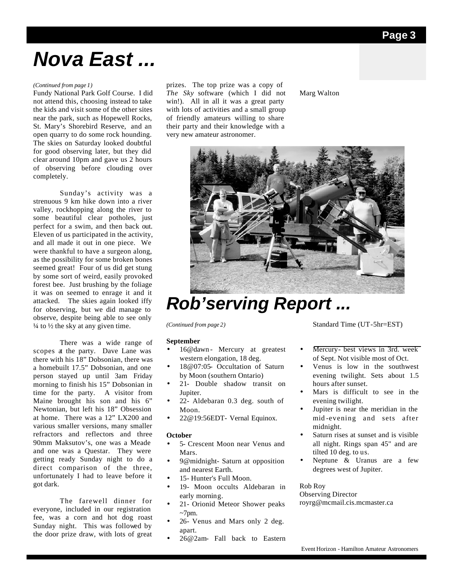## *Nova East ...*

### *(Continued from page 1)*

Fundy National Park Golf Course. I did not attend this, choosing instead to take the kids and visit some of the other sites near the park, such as Hopewell Rocks, St. Mary's Shorebird Reserve, and an open quarry to do some rock hounding. The skies on Saturday looked doubtful for good observing later, but they did clear around 10pm and gave us 2 hours of observing before clouding over completely.

 Sunday's activity was a strenuous 9 km hike down into a river valley, rockhopping along the river to some beautiful clear potholes, just perfect for a swim, and then back out. Eleven of us participated in the activity, and all made it out in one piece. We were thankful to have a surgeon along, as the possibility for some broken bones seemed great! Four of us did get stung by some sort of weird, easily provoked forest bee. Just brushing by the foliage it was on seemed to enrage it and it attacked. The skies again looked iffy for observing, but we did manage to observe, despite being able to see only  $\frac{1}{4}$  to  $\frac{1}{2}$  the sky at any given time.

 There was a wide range of scopes at the party. Dave Lane was there with his 18" Dobsonian, there was a homebuilt 17.5" Dobsonian, and one person stayed up until 3am Friday morning to finish his 15" Dobsonian in time for the party. A visitor from Maine brought his son and his 6" Newtonian, but left his 18" Obsession at home. There was a 12" LX200 and various smaller versions, many smaller refractors and reflectors and three 90mm Maksutov's, one was a Meade and one was a Questar. They were getting ready Sunday night to do a direct comparison of the three, unfortunately I had to leave before it got dark.

 The farewell dinner for everyone, included in our registration fee, was a corn and hot dog roast Sunday night. This was followed by the door prize draw, with lots of great prizes. The top prize was a copy of *The Sky* software (which I did not win!). All in all it was a great party with lots of activities and a small group of friendly amateurs willing to share their party and their knowledge with a very new amateur astronomer.

Marg Walton



### *Rob'serving Report ...*

*(Continued from page 2)*

#### **September**

- 16@dawn- Mercury at greatest western elongation, 18 deg.
- 18@07:05- Occultation of Saturn by Moon (southern Ontario)
- 21- Double shadow transit on Jupiter.
- 22- Aldebaran 0.3 deg. south of Moon.
- 22@19:56EDT- Vernal Equinox.

### **October**

- 5- Crescent Moon near Venus and Mars.
- 9@midnight- Saturn at opposition and nearest Earth.
- 15- Hunter's Full Moon.
- 19- Moon occults Aldebaran in early morning.
- 21- Orionid Meteor Shower peaks  $~5$ 7pm.
- 26- Venus and Mars only 2 deg. apart.
- 26@2am- Fall back to Eastern

Standard Time (UT-5hr=EST)

- Mercury- best views in 3rd. week of Sept. Not visible most of Oct.
- Venus is low in the southwest evening twilight. Sets about 1.5 hours after sunset.
- Mars is difficult to see in the evening twilight.
- Jupiter is near the meridian in the mid -evening and sets after midnight.
- Saturn rises at sunset and is visible all night. Rings span 45" and are tilted 10 deg. to us.
- Neptune & Uranus are a few degrees west of Jupiter.

### Rob Roy

Observing Director royrg@mcmail.cis.mcmaster.ca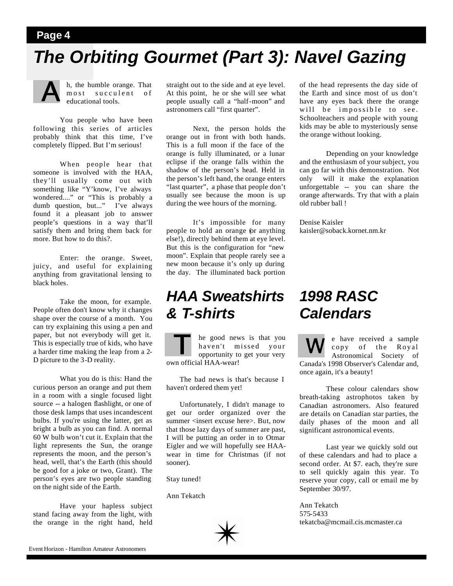### **Page 4**

### *The Orbiting Gourmet (Part 3): Navel Gazing*



h, the humble orange. That most succulent of educational tools.

 You people who have been following this series of articles probably think that this time, I've completely flipped. But I'm serious!

 When people hear that someone is involved with the HAA, they'll usually come out with something like "Y'know, I've always wondered...." or "This is probably a dumb question, but..." I've always found it a pleasant job to answer people's questions in a way that'll satisfy them and bring them back for more. But how to do this?.

 Enter: the orange. Sweet, juicy, and useful for explaining anything from gravitational lensing to black holes.

 Take the moon, for example. People often don't know why it changes shape over the course of a month. You can try explaining this using a pen and paper, but not everybody will get it. This is especially true of kids, who have a harder time making the leap from a 2- D picture to the 3-D reality.

 What you do is this: Hand the curious person an orange and put them in a room with a single focused light source -- a halogen flashlight, or one of those desk lamps that uses incandescent bulbs. If you're using the latter, get as bright a bulb as you can find. A normal 60 W bulb won't cut it. Explain that the light represents the Sun, the orange represents the moon, and the person's head, well, that's the Earth (this should be good for a joke or two, Grant). The person's eyes are two people standing on the night side of the Earth.

 Have your hapless subject stand facing away from the light, with the orange in the right hand, held

straight out to the side and at eye level. At this point, he or she will see what people usually call a "half-moon" and astronomers call "first quarter".

 Next, the person holds the orange out in front with both hands. This is a full moon if the face of the orange is fully illuminated, or a lunar eclipse if the orange falls within the shadow of the person's head. Held in the person's left hand, the orange enters "last quarter", a phase that people don't usually see because the moon is up during the wee hours of the morning.

 It's impossible for many people to hold an orange (or anything else!), directly behind them at eye level. But this is the configuration for "new moon". Explain that people rarely see a new moon because it's only up during the day. The illuminated back portion

### *HAA Sweatshirts & T-shirts*

he good news is that you haven't missed your opportunity to get your very own official HAA-wear!

 The bad news is that's because I haven't ordered them yet!

 Unfortunately, I didn't manage to get our order organized over the summer <insert excuse here>. But, now that those lazy days of summer are past, I will be putting an order in to Otmar Eigler and we will hopefully see HAAwear in time for Christmas (if not sooner).

Stay tuned!

Ann Tekatch



of the head represents the day side of the Earth and since most of us don't have any eyes back there the orange will be impossible to see. Schoolteachers and people with young kids may be able to mysteriously sense the orange without looking.

 Depending on your knowledge and the enthusiasm of yoursubject, you can go far with this demonstration. Not only will it make the explanation unforgettable -- you can share the orange afterwards. Try that with a plain old rubber ball !

Denise Kaisler kaisler@soback.kornet.nm.kr

### *1998 RASC Calendars*

e have received a sample copy of the Royal Astronomical Society of Canada's 1998 Observer's Calendar and, once again, it's a beauty!

 These colour calendars show breath-taking astrophotos taken by Canadian astronomers. Also featured are details on Canadian star parties, the daily phases of the moon and all significant astronomical events.

 Last year we quickly sold out of these calendars and had to place a second order. At \$7. each, they're sure to sell quickly again this year. To reserve your copy, call or email me by September 30/97.

Ann Tekatch 575-5433 tekatcba@mcmail.cis.mcmaster.ca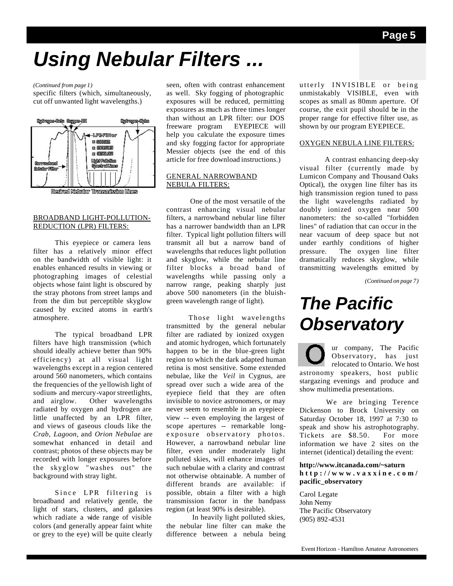## *Using Nebular Filters ...*

### *(Continued from page 1)*

specific filters (which, simultaneously, cut off unwanted light wavelengths.)



### BROADBAND LIGHT-POLLUTION-REDUCTION (LPR) FILTERS:

 This eyepiece or camera lens filter has a relatively minor effect on the bandwidth of visible light: it enables enhanced results in viewing or photographing images of celestial objects whose faint light is obscured by the stray photons from street lamps and from the dim but perceptible skyglow caused by excited atoms in earth's atmosphere.

 The typical broadband LPR filters have high transmission (which should ideally achieve better than 90% efficiency) at all visual light wavelengths except in a region centered around 560 nanometers, which contains the frequencies of the yellowish light of sodium- and mercury-vapor streetlights, and airglow. Other wavelengths radiated by oxygen and hydrogen are little unaffected by an LPR filter, and views of gaseous clouds like the *Crab, Lagoon,* and *Orion Nebulae* are somewhat enhanced in detail and contrast; photos of these objects may be recorded with longer exposures before the skyglow "washes out" the background with stray light.

 Since LPR filtering is broadband and relatively gentle, the light of stars, clusters, and galaxies which radiate a wide range of visible colors (and generally appear faint white or grey to the eye) will be quite clearly seen, often with contrast enhancement as well. Sky fogging of photographic exposures will be reduced, permitting exposures as much as three times longer than without an LPR filter: our DOS freeware program EYEPIECE will help you calculate the exposure times and sky fogging factor for appropriate Messier objects (see the end of this article for free download instructions.)

### GENERAL NARROWBAND NEBULA FILTERS:

 One of the most versatile of the contrast enhancing visual nebular filters, a narrowband nebular line filter has a narrower bandwidth than an LPR filter. Typical light pollution filters will transmit all but a narrow band of wavelengths that reduces light pollution and skyglow, while the nebular line filter blocks a broad band of wavelengths while passing only a narrow range, peaking sharply just above 500 nanometers (in the bluishgreen wavelength range of light).

 Those light wavelengths transmitted by the general nebular filter are radiated by ionized oxygen and atomic hydrogen, which fortunately happen to be in the blue-green light region to which the dark adapted human retina is most sensitive. Some extended nebulae, like the *Veil* in Cygnus, are spread over such a wide area of the eyepiece field that they are often invisible to novice astronomers, or may never seem to resemble in an eyepiece view -- even employing the largest of scope apertures -- remarkable longexposure observatory photos. However, a narrowband nebular line filter, even under moderately light polluted skies, will enhance images of such nebulae with a clarity and contrast not otherwise obtainable. A number of different brands are available: if possible, obtain a filter with a high transmission factor in the bandpass region (at least 90% is desirable).

 In heavily light polluted skies, the nebular line filter can make the difference between a nebula being utterly INVISIBLE or being unmistakably VISIBLE, even with scopes as small as 80mm aperture. Of course, the exit pupil should be in the proper range for effective filter use, as shown by our program EYEPIECE.

### OXYGEN NEBULA LINE FILTERS:

 A contrast enhancing deep-sky visual filter (currently made by Lumicon Company and Thousand Oaks Optical), the oxygen line filter has its high transmission region tuned to pass the light wavelengths radiated by doubly ionized oxygen near 500 nanometers: the so-called "forbidden lines" of radiation that can occur in the near vacuum of deep space but not under earthly conditions of higher pressure. The oxygen line filter dramatically reduces skyglow, while transmitting wavelengths emitted by

*(Continued on page 7)*

## *The Pacific Observatory*

ur company, The Pacific Observatory, has just relocated to Ontario. We host astronomy speakers, host public stargazing evenings and produce and show multimedia presentations.

 We are bringing Terence Dickenson to Brock University on Saturday October 18, 1997 at 7:30 to speak and show his astrophotography. Tickets are \$8.50. For more information we have 2 sites on the internet (identical) detailing the event:

**http://www.itcanada.com/~saturn http://www.vaxxine.com/ pacific\_observatory**

Carol Legate John Nemy The Pacific Observatory (905) 892-4531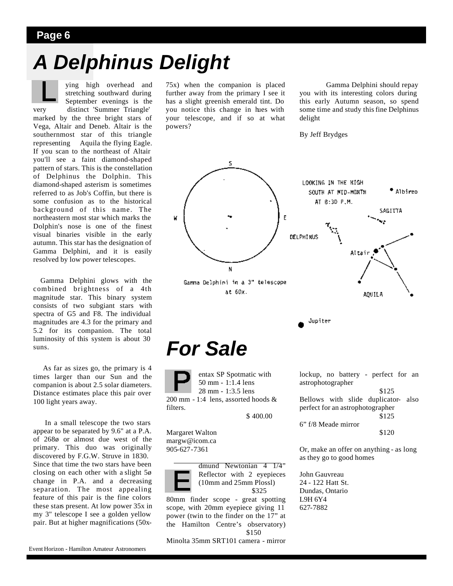### **Page 6**

## *A Delphinus Delight*

ying high overhead and stretching southward during September evenings is the very distinct 'Summer Triangle' marked by the three bright stars of Vega, Altair and Deneb. Altair is the southernmost star of this triangle representing Aquila the flying Eagle. If you scan to the northeast of Altair you'll see a faint diamond-shaped pattern of stars. This is the constellation of Delphinus the Dolphin. This diamond-shaped asterism is sometimes referred to as Job's Coffin, but there is some confusion as to the historical background of this name. The northeastern most star which marks the Dolphin's nose is one of the finest visual binaries visible in the early autumn. This star has the designation of Gamma Delphini, and it is easily resolved by low power telescopes.

 Gamma Delphini glows with the combined brightness of a 4th magnitude star. This binary system consists of two subgiant stars with spectra of G5 and F8. The individual magnitudes are 4.3 for the primary and 5.2 for its companion. The total luminosity of this system is about 30 suns.

 As far as sizes go, the primary is 4 times larger than our Sun and the companion is about 2.5 solar diameters. Distance estimates place this pair over 100 light years away.

 In a small telescope the two stars appear to be separated by 9.6" at a P.A. of 268ø or almost due west of the primary. This duo was originally discovered by F.G.W. Struve in 1830. Since that time the two stars have been closing on each other with a slight 5ø change in P.A. and a decreasing separation. The most appealing feature of this pair is the fine colors these stars present. At low power 35x in my 3" telescope I see a golden yellow pair. But at higher magnifications (50x-

Event Horizon - Hamilton Amateur Astronomers

75x) when the companion is placed further away from the primary I see it has a slight greenish emerald tint. Do you notice this change in hues with your telescope, and if so at what powers?

 Gamma Delphini should repay you with its interesting colors during this early Autumn season, so spend some time and study this fine Delphinus delight

By Jeff Brydges



627-7882

80mm finder scope - great spotting scope, with 20mm eyepiece giving 11 power (twin to the finder on the 17" at the Hamilton Centre's observatory) \$150

Minolta 35mm SRT101 camera - mirror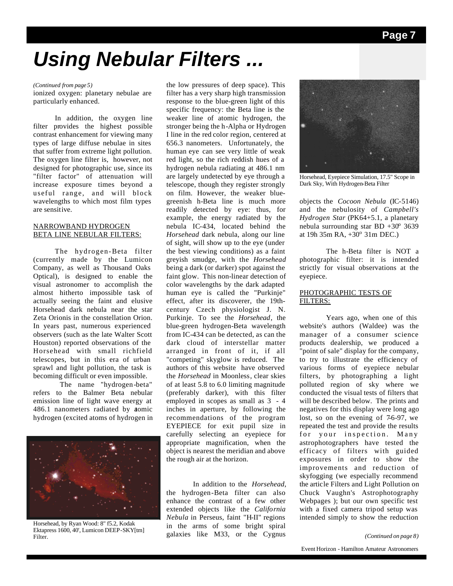## *Using Nebular Filters ...*

### *(Continued from page 5)*

ionized oxygen: planetary nebulae are particularly enhanced.

 In addition, the oxygen line filter provides the highest possible contrast enhancement for viewing many types of large diffuse nebulae in sites that suffer from extreme light pollution. The oxygen line filter is, however, not designed for photographic use, since its "filter factor" of attenuation will increase exposure times beyond a useful range, and will block wavelengths to which most film types are sensitive.

### NARROWBAND HYDROGEN BETA LINE NEBULAR FILTERS:

 The hydrogen-Beta filter (currently made by the Lumicon Company, as well as Thousand Oaks Optical), is designed to enable the visual astronomer to accomplish the almost hitherto impossible task of actually seeing the faint and elusive Horsehead dark nebula near the star Zeta Orionis in the constellation Orion. In years past, numerous experienced observers (such as the late Walter Scott Houston) reported observations of the Horsehead with small richfield telescopes, but in this era of urban sprawl and light pollution, the task is becoming difficult or even impossible.

 The name "hydrogen-beta" refers to the Balmer Beta nebular emission line of light wave energy at 486.1 nanometers radiated by atomic hydrogen (excited atoms of hydrogen in



Horsehead, by Ryan Wood: 8" f5.2, Kodak Ektapress 1600, 40', Lumicon DEEP-SKY[tm] Filter.

the low pressures of deep space). This filter has a very sharp high transmission response to the blue-green light of this specific frequency: the Beta line is the weaker line of atomic hydrogen, the stronger being the h-Alpha or Hydrogen I line in the red color region, centered at 656.3 nanometers. Unfortunately, the human eye can see very little of weak red light, so the rich reddish hues of a hydrogen nebula radiating at 486.1 nm are largely undetected by eye through a telescope, though they register strongly on film. However, the weaker bluegreenish h-Beta line is much more readily detected by eye: thus, for example, the energy radiated by the nebula IC-434, located behind the *Horsehead* dark nebula, along our line of sight, will show up to the eye (under the best viewing conditions) as a faint greyish smudge, with the *Horsehead* being a dark (or darker) spot against the faint glow. This non-linear detection of color wavelengths by the dark adapted human eye is called the "Purkinje" effect, after its discoverer, the 19thcentury Czech physiologist J. N. Purkinje. To see the *Horsehead*, the blue-green hydrogen-Beta wavelength from IC-434 can be detected, as can the dark cloud of interstellar matter arranged in front of it, if all "competing" skyglow is reduced. The authors of this website have observed the *Horsehead* in Moonless, clear skies of at least 5.8 to 6.0 limiting magnitude (preferably darker), with this filter employed in scopes as small as 3 - 4 inches in aperture, by following the recommendations of the program EYEPIECE for exit pupil size in carefully selecting an eyepiece for appropriate magnification, when the object is nearest the meridian and above the rough air at the horizon.

 In addition to the *Horsehead*, the hydrogen-Beta filter can also enhance the contrast of a few other extended objects like the *California Nebula* in Perseus, faint "H-II" regions in the arms of some bright spiral galaxies like M33, or the Cygnus



Horsehead, Eyepiece Simulation, 17.5" Scope in Dark Sky, With Hydrogen-Beta Filter

objects the *Cocoon Nebula* (IC-5146) and the nebulosity of *Campbell's Hydrogen Star* (PK64+5.1, a planetary nebula surrounding star BD  $+30^{\circ}$  3639 at 19h  $35m$  RA,  $+30^{\circ}$  31m DEC.)

 The h-Beta filter is NOT a photographic filter: it is intended strictly for visual observations at the eyepiece.

### PHOTOGRAPHIC TESTS OF FILTERS:

 Years ago, when one of this website's authors (Waldee) was the manager of a consumer science products dealership, we produced a "point of sale" display for the company, to try to illustrate the efficiency of various forms of eyepiece nebular filters, by photographing a light polluted region of sky where we conducted the visual tests of filters that will be described below. The prints and negatives for this display were long ago lost, so on the evening of 7-6-97, we repeated the test and provide the results for your inspection. Many astrophotographers have tested the efficacy of filters with guided exposures in order to show the improvements and reduction of skyfogging (we especially recommend the article Filters and Light Pollution on Chuck Vaughn's Astrophotography Webpages ); but our own specific test with a fixed camera tripod setup was intended simply to show the reduction

*<sup>(</sup>Continued on page 8)*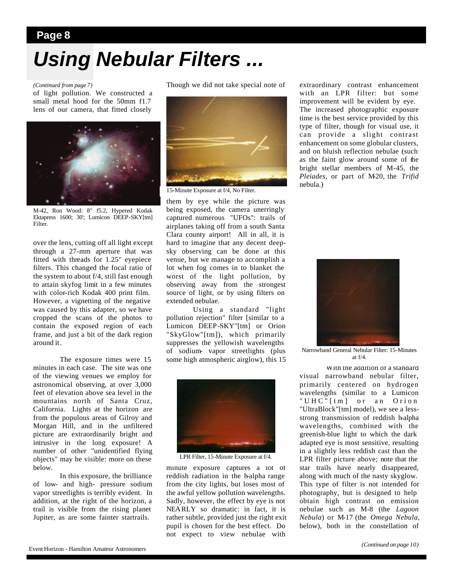## **Page 8** *Using Nebular Filters ...*

### *(Continued from page 7)*

of light pollution. We constructed a small metal hood for the 50mm f1.7 lens of our camera, that fitted closely



M-42, Ron Wood: 8" f5.2, Hypered Kodak Ektapress 1600; 30'; Lumicon DEEP-SKY[tm] Filter.

over the lens, cutting off all light except through a 27-mm aperture that was fitted with threads for 1.25" eyepiece filters. This changed the focal ratio of the system to about f/4, still fast enough to attain skyfog limit in a few minutes with color-rich Kodak 400 print film. However, a vignetting of the negative was caused by this adapter, so we have cropped the scans of the photos to contain the exposed region of each frame, and just a bit of the dark region around it.

 The exposure times were 15 minutes in each case. The site was one of the viewing venues we employ for astronomical observing, at over 3,000 feet of elevation above sea level in the mountains north of Santa Cruz, California. Lights at the horizon are from the populous areas of Gilroy and Morgan Hill, and in the unfiltered picture are extraordinarily bright and intrusive in the long exposure! A number of other "unidentified flying objects" may be visible: more on these below.

 In this exposure, the brilliance of low- and high- pressure sodium vapor streetlights is terribly evident. In addition, at the right of the horizon, a trail is visible from the rising planet Jupiter, as are some fainter startrails.

Though we did not take special note of



15-Minute Exposure at f/4, No Filter.

them by eye while the picture was being exposed, the camera unerringly captured numerous "UFOs": trails of airplanes taking off from a south Santa Clara county airport! All in all, it is hard to imagine that any decent deepsky observing can be done at this venue, but we manage to accomplish a lot when fog comes in to blanket the worst of the light pollution, by observing away from the strongest source of light, or by using filters on extended nebulae.

 Using a standard "light pollution rejection" filter [similar to a Lumicon DEEP-SKY"[tm] or Orion "SkyGlow"[tm]), which primarily suppresses the yellowish wavelengths of sodium- vapor streetlights (plus some high atmospheric airglow), this 15



LPR Filter, 15-Minute Exposure at f/4.

minute exposure captures a lot of reddish radiation in the h-alpha range from the city lights, but loses most of the awful yellow pollution wavelengths. Sadly, however, the effect by eye is not NEARLY so dramatic: in fact, it is rather subtle, provided just the right exit pupil is chosen for the best effect. Do not expect to view nebulae with

extraordinary contrast enhancement with an LPR filter: but some improvement will be evident by eye. The increased photographic exposure time is the best service provided by this type of filter, though for visual use, it can provide a slight contrast enhancement on some globular clusters, and on bluish reflection nebulae (such as the faint glow around some of the bright stellar members of M-45, the *Pleiades*, or part of M-20, the *Trifid* nebula.)



Narrowband General Nebular Filter: 15-Minutes at  $f/A$ .

 With the addition of a standard visual narrowband nebular filter, primarily centered on hydrogen wavelengths (similar to a Lumicon "UHC"[tm] or an Orion "UltraBlock"[tm] model), we see a lessstrong transmission of reddish h-alpha wavelengths, combined with the greenish-blue light to which the dark adapted eye is most sensitive, resulting in a slightly less reddish cast than the LPR filter picture above; note that the star trails have nearly disappeared, along with much of the nasty skyglow. This type of filter is not intended for photography, but is designed to help obtain high contrast on emission nebulae such as M-8 (the *Lagoon Nebula*) or M-17 (the *Omega Nebula,* below), both in the constellation of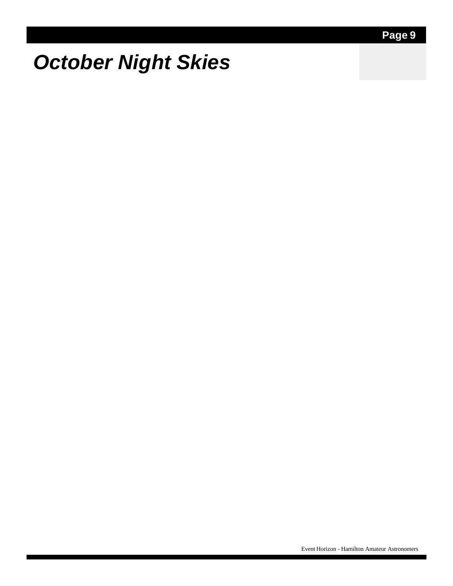## *October Night Skies*

Event Horizon - Hamilton Amateur Astronomers